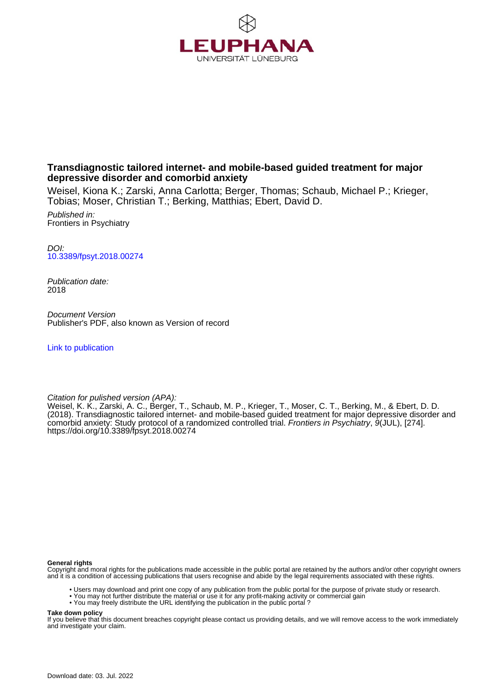

# **Transdiagnostic tailored internet- and mobile-based guided treatment for major depressive disorder and comorbid anxiety**

Weisel, Kiona K.; Zarski, Anna Carlotta; Berger, Thomas; Schaub, Michael P.; Krieger, Tobias; Moser, Christian T.; Berking, Matthias; Ebert, David D.

Published in: Frontiers in Psychiatry

DOI: [10.3389/fpsyt.2018.00274](https://doi.org/10.3389/fpsyt.2018.00274)

Publication date: 2018

Document Version Publisher's PDF, also known as Version of record

[Link to publication](http://fox.leuphana.de/portal/en/publications/transdiagnostic-tailored-internet-and-mobilebased-guided-treatment-for-major-depressive-disorder-and-comorbid-anxiety(e4de1939-70ee-4ec1-ba52-439e18e1bf87).html)

Citation for pulished version (APA):

Weisel, K. K., Zarski, A. C., Berger, T., Schaub, M. P., Krieger, T., Moser, C. T., Berking, M., & Ebert, D. D. (2018). [Transdiagnostic tailored internet- and mobile-based guided treatment for major depressive disorder and](http://fox.leuphana.de/portal/de/publications/transdiagnostic-tailored-internet-and-mobilebased-guided-treatment-for-major-depressive-disorder-and-comorbid-anxiety(e4de1939-70ee-4ec1-ba52-439e18e1bf87).html) [comorbid anxiety: Study protocol of a randomized controlled trial.](http://fox.leuphana.de/portal/de/publications/transdiagnostic-tailored-internet-and-mobilebased-guided-treatment-for-major-depressive-disorder-and-comorbid-anxiety(e4de1939-70ee-4ec1-ba52-439e18e1bf87).html) [Frontiers in Psychiatry](http://fox.leuphana.de/portal/de/journals/frontiers-in-psychiatry(20eb9a00-2f31-4cad-9d76-8f0a112855d1)/publications.html), 9(JUL), [274]. <https://doi.org/10.3389/fpsyt.2018.00274>

**General rights**

Copyright and moral rights for the publications made accessible in the public portal are retained by the authors and/or other copyright owners and it is a condition of accessing publications that users recognise and abide by the legal requirements associated with these rights.

- Users may download and print one copy of any publication from the public portal for the purpose of private study or research.
- You may not further distribute the material or use it for any profit-making activity or commercial gain
- You may freely distribute the URL identifying the publication in the public portal ?

**Take down policy**

If you believe that this document breaches copyright please contact us providing details, and we will remove access to the work immediately and investigate your claim.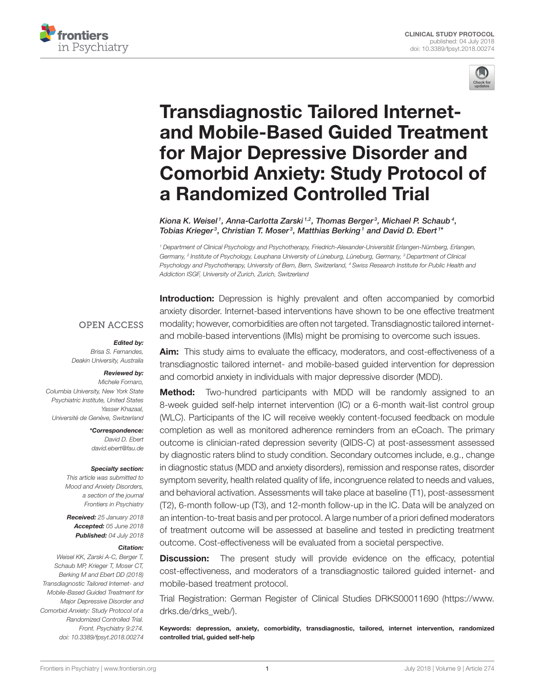



# Transdiagnostic Tailored Internet[and Mobile-Based Guided Treatment](https://www.frontiersin.org/articles/10.3389/fpsyt.2018.00274/full) for Major Depressive Disorder and Comorbid Anxiety: Study Protocol of a Randomized Controlled Trial

[Kiona K. Weisel](http://loop.frontiersin.org/people/519218/overview)1, [Anna-Carlotta Zarski](http://loop.frontiersin.org/people/464881/overview)1,2, [Thomas Berger](http://loop.frontiersin.org/people/211293/overview)3, Michael P. Schaub4, [Tobias Krieger](http://loop.frontiersin.org/people/268851/overview)<sup>3</sup>, [Christian T. Moser](http://loop.frontiersin.org/people/562914/overview)<sup>3</sup>, Matthias Berking<sup>1</sup> and David D. Ebert<sup>1\*</sup>

<sup>1</sup> Department of Clinical Psychology and Psychotherapy, Friedrich-Alexander-Universität Erlangen-Nürnberg, Erlangen, Germany, <sup>2</sup> Institute of Psychology, Leuphana University of Lüneburg, Lüneburg, Germany, <sup>3</sup> Department of Clinicai Psychology and Psychotherapy, University of Bern, Bern, Switzerland, <sup>4</sup> Swiss Research Institute for Public Health and Addiction ISGF, University of Zurich, Zurich, Switzerland

anxiety disorder. Internet-based interventions have shown to be one effective treatment **OPEN ACCESS** 

#### Edited by:

Brisa S. Fernandes, Deakin University, Australia

#### Reviewed by: Michele Fornaro,

Columbia University, New York State Psychiatric Institute, United States Yasser Khazaal, Université de Genève, Switzerland

> \*Correspondence: David D. Ebert [david.ebert@fau.de](mailto:david.ebert@fau.de)

#### Specialty section:

This article was submitted to Mood and Anxiety Disorders, a section of the journal Frontiers in Psychiatry

Received: 25 January 2018 Accepted: 05 June 2018 Published: 04 July 2018

#### Citation:

Weisel KK, Zarski A-C, Berger T, Schaub MP, Krieger T, Moser CT, Berking M and Ebert DD (2018) Transdiagnostic Tailored Internet- and Mobile-Based Guided Treatment for Major Depressive Disorder and Comorbid Anxiety: Study Protocol of a Randomized Controlled Trial. Front. Psychiatry 9:274. doi: [10.3389/fpsyt.2018.00274](https://doi.org/10.3389/fpsyt.2018.00274)

modality; however, comorbidities are often not targeted. Transdiagnostic tailored internetand mobile-based interventions (IMIs) might be promising to overcome such issues. Aim: This study aims to evaluate the efficacy, moderators, and cost-effectiveness of a

**Introduction:** Depression is highly prevalent and often accompanied by comorbid

transdiagnostic tailored internet- and mobile-based guided intervention for depression and comorbid anxiety in individuals with major depressive disorder (MDD).

**Method:** Two-hundred participants with MDD will be randomly assigned to an 8-week guided self-help internet intervention (IC) or a 6-month wait-list control group (WLC). Participants of the IC will receive weekly content-focused feedback on module completion as well as monitored adherence reminders from an eCoach. The primary outcome is clinician-rated depression severity (QIDS-C) at post-assessment assessed by diagnostic raters blind to study condition. Secondary outcomes include, e.g., change in diagnostic status (MDD and anxiety disorders), remission and response rates, disorder symptom severity, health related quality of life, incongruence related to needs and values, and behavioral activation. Assessments will take place at baseline (T1), post-assessment (T2), 6-month follow-up (T3), and 12-month follow-up in the IC. Data will be analyzed on an intention-to-treat basis and per protocol. A large number of a priori defined moderators of treatment outcome will be assessed at baseline and tested in predicting treatment outcome. Cost-effectiveness will be evaluated from a societal perspective.

**Discussion:** The present study will provide evidence on the efficacy, potential cost-effectiveness, and moderators of a transdiagnostic tailored guided internet- and mobile-based treatment protocol.

Trial Registration: German Register of Clinical Studies DRKS00011690 [\(https://www.](https://www.drks.de/drks_web/) [drks.de/drks\\_web/\)](https://www.drks.de/drks_web/).

Keywords: depression, anxiety, comorbidity, transdiagnostic, tailored, internet intervention, randomized controlled trial, guided self-help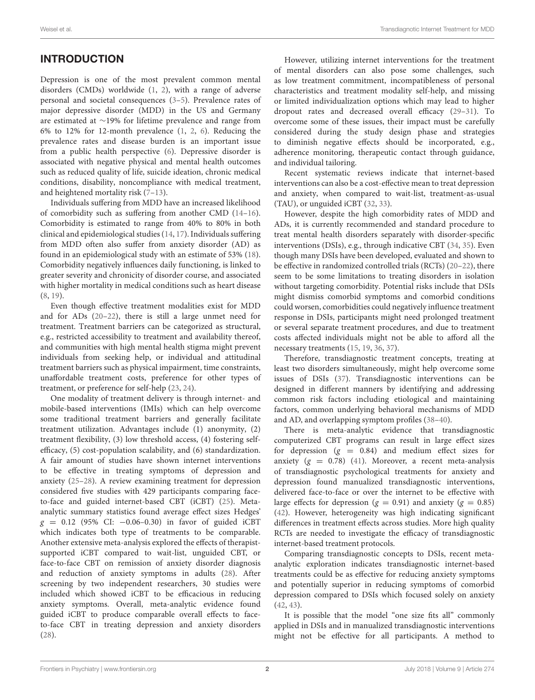# INTRODUCTION

Depression is one of the most prevalent common mental disorders (CMDs) worldwide [\(1,](#page-10-0) [2\)](#page-10-1), with a range of adverse personal and societal consequences [\(3](#page-10-2)[–5\)](#page-10-3). Prevalence rates of major depressive disorder (MDD) in the US and Germany are estimated at ∼19% for lifetime prevalence and range from 6% to 12% for 12-month prevalence [\(1,](#page-10-0) [2,](#page-10-1) [6\)](#page-10-4). Reducing the prevalence rates and disease burden is an important issue from a public health perspective [\(6\)](#page-10-4). Depressive disorder is associated with negative physical and mental health outcomes such as reduced quality of life, suicide ideation, chronic medical conditions, disability, noncompliance with medical treatment, and heightened mortality risk [\(7](#page-10-5)[–13\)](#page-10-6).

Individuals suffering from MDD have an increased likelihood of comorbidity such as suffering from another CMD [\(14–](#page-10-7)[16\)](#page-10-8). Comorbidity is estimated to range from 40% to 80% in both clinical and epidemiological studies [\(14,](#page-10-7) [17\)](#page-10-9). Individuals suffering from MDD often also suffer from anxiety disorder (AD) as found in an epidemiological study with an estimate of 53% [\(18\)](#page-10-10). Comorbidity negatively influences daily functioning, is linked to greater severity and chronicity of disorder course, and associated with higher mortality in medical conditions such as heart disease [\(8,](#page-10-11) [19\)](#page-10-12).

Even though effective treatment modalities exist for MDD and for ADs [\(20–](#page-10-13)[22\)](#page-11-0), there is still a large unmet need for treatment. Treatment barriers can be categorized as structural, e.g., restricted accessibility to treatment and availability thereof, and communities with high mental health stigma might prevent individuals from seeking help, or individual and attitudinal treatment barriers such as physical impairment, time constraints, unaffordable treatment costs, preference for other types of treatment, or preference for self-help [\(23,](#page-11-1) [24\)](#page-11-2).

One modality of treatment delivery is through internet- and mobile-based interventions (IMIs) which can help overcome some traditional treatment barriers and generally facilitate treatment utilization. Advantages include (1) anonymity, (2) treatment flexibility, (3) low threshold access, (4) fostering selfefficacy, (5) cost-population scalability, and (6) standardization. A fair amount of studies have shown internet interventions to be effective in treating symptoms of depression and anxiety [\(25](#page-11-3)[–28\)](#page-11-4). A review examining treatment for depression considered five studies with 429 participants comparing faceto-face and guided internet-based CBT (iCBT) [\(25\)](#page-11-3). Metaanalytic summary statistics found average effect sizes Hedges'  $g = 0.12$  (95% CI: -0.06-0.30) in favor of guided iCBT which indicates both type of treatments to be comparable. Another extensive meta-analysis explored the effects of therapistsupported iCBT compared to wait-list, unguided CBT, or face-to-face CBT on remission of anxiety disorder diagnosis and reduction of anxiety symptoms in adults [\(28\)](#page-11-4). After screening by two independent researchers, 30 studies were included which showed iCBT to be efficacious in reducing anxiety symptoms. Overall, meta-analytic evidence found guided iCBT to produce comparable overall effects to faceto-face CBT in treating depression and anxiety disorders [\(28\)](#page-11-4).

However, utilizing internet interventions for the treatment of mental disorders can also pose some challenges, such as low treatment commitment, incompatibleness of personal characteristics and treatment modality self-help, and missing or limited individualization options which may lead to higher dropout rates and decreased overall efficacy [\(29](#page-11-5)[–31\)](#page-11-6). To overcome some of these issues, their impact must be carefully considered during the study design phase and strategies to diminish negative effects should be incorporated, e.g., adherence monitoring, therapeutic contact through guidance, and individual tailoring.

Recent systematic reviews indicate that internet-based interventions can also be a cost-effective mean to treat depression and anxiety, when compared to wait-list, treatment-as-usual (TAU), or unguided iCBT [\(32,](#page-11-7) [33\)](#page-11-8).

However, despite the high comorbidity rates of MDD and ADs, it is currently recommended and standard procedure to treat mental health disorders separately with disorder-specific interventions (DSIs), e.g., through indicative CBT [\(34,](#page-11-9) [35\)](#page-11-10). Even though many DSIs have been developed, evaluated and shown to be effective in randomized controlled trials (RCTs) [\(20](#page-10-13)[–22\)](#page-11-0), there seem to be some limitations to treating disorders in isolation without targeting comorbidity. Potential risks include that DSIs might dismiss comorbid symptoms and comorbid conditions could worsen, comorbidities could negatively influence treatment response in DSIs, participants might need prolonged treatment or several separate treatment procedures, and due to treatment costs affected individuals might not be able to afford all the necessary treatments [\(15,](#page-10-14) [19,](#page-10-12) [36,](#page-11-11) [37\)](#page-11-12).

Therefore, transdiagnostic treatment concepts, treating at least two disorders simultaneously, might help overcome some issues of DSIs [\(37\)](#page-11-12). Transdiagnostic interventions can be designed in different manners by identifying and addressing common risk factors including etiological and maintaining factors, common underlying behavioral mechanisms of MDD and AD, and overlapping symptom profiles [\(38–](#page-11-13)[40\)](#page-11-14).

There is meta-analytic evidence that transdiagnostic computerized CBT programs can result in large effect sizes for depression  $(g = 0.84)$  and medium effect sizes for anxiety ( $g = 0.78$ ) [\(41\)](#page-11-15). Moreover, a recent meta-analysis of transdiagnostic psychological treatments for anxiety and depression found manualized transdiagnostic interventions, delivered face-to-face or over the internet to be effective with large effects for depression ( $g = 0.91$ ) and anxiety ( $g = 0.85$ ) [\(42\)](#page-11-16). However, heterogeneity was high indicating significant differences in treatment effects across studies. More high quality RCTs are needed to investigate the efficacy of transdiagnostic internet-based treatment protocols.

Comparing transdiagnostic concepts to DSIs, recent metaanalytic exploration indicates transdiagnostic internet-based treatments could be as effective for reducing anxiety symptoms and potentially superior in reducing symptoms of comorbid depression compared to DSIs which focused solely on anxiety [\(42,](#page-11-16) [43\)](#page-11-17).

It is possible that the model "one size fits all" commonly applied in DSIs and in manualized transdiagnostic interventions might not be effective for all participants. A method to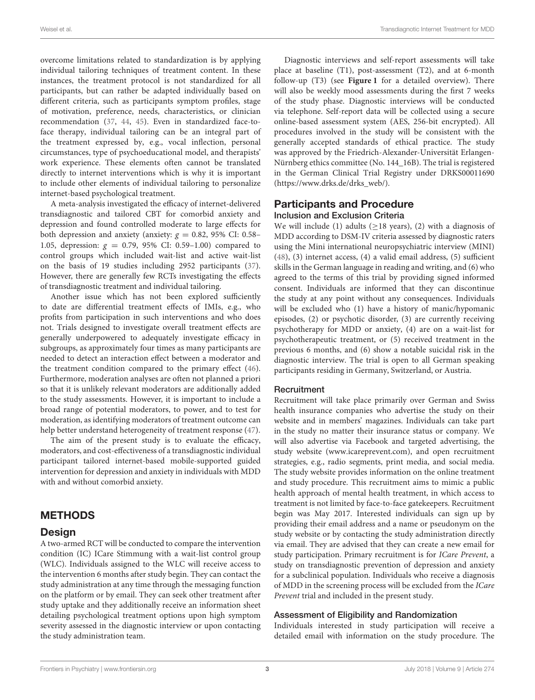overcome limitations related to standardization is by applying individual tailoring techniques of treatment content. In these instances, the treatment protocol is not standardized for all participants, but can rather be adapted individually based on different criteria, such as participants symptom profiles, stage of motivation, preference, needs, characteristics, or clinician recommendation [\(37,](#page-11-12) [44,](#page-11-18) [45\)](#page-11-19). Even in standardized face-toface therapy, individual tailoring can be an integral part of the treatment expressed by, e.g., vocal inflection, personal circumstances, type of psychoeducational model, and therapists' work experience. These elements often cannot be translated directly to internet interventions which is why it is important to include other elements of individual tailoring to personalize internet-based psychological treatment.

A meta-analysis investigated the efficacy of internet-delivered transdiagnostic and tailored CBT for comorbid anxiety and depression and found controlled moderate to large effects for both depression and anxiety (anxiety:  $g = 0.82$ , 95% CI: 0.58– 1.05, depression:  $g = 0.79, 95\%$  CI: 0.59-1.00) compared to control groups which included wait-list and active wait-list on the basis of 19 studies including 2952 participants [\(37\)](#page-11-12). However, there are generally few RCTs investigating the effects of transdiagnostic treatment and individual tailoring.

Another issue which has not been explored sufficiently to date are differential treatment effects of IMIs, e.g., who profits from participation in such interventions and who does not. Trials designed to investigate overall treatment effects are generally underpowered to adequately investigate efficacy in subgroups, as approximately four times as many participants are needed to detect an interaction effect between a moderator and the treatment condition compared to the primary effect [\(46\)](#page-11-20). Furthermore, moderation analyses are often not planned a priori so that it is unlikely relevant moderators are additionally added to the study assessments. However, it is important to include a broad range of potential moderators, to power, and to test for moderation, as identifying moderators of treatment outcome can help better understand heterogeneity of treatment response [\(47\)](#page-11-21).

The aim of the present study is to evaluate the efficacy, moderators, and cost-effectiveness of a transdiagnostic individual participant tailored internet-based mobile-supported guided intervention for depression and anxiety in individuals with MDD with and without comorbid anxiety.

# METHODS

# **Design**

A two-armed RCT will be conducted to compare the intervention condition (IC) ICare Stimmung with a wait-list control group (WLC). Individuals assigned to the WLC will receive access to the intervention 6 months after study begin. They can contact the study administration at any time through the messaging function on the platform or by email. They can seek other treatment after study uptake and they additionally receive an information sheet detailing psychological treatment options upon high symptom severity assessed in the diagnostic interview or upon contacting the study administration team.

Diagnostic interviews and self-report assessments will take place at baseline (T1), post-assessment (T2), and at 6-month follow-up (T3) (see **[Figure 1](#page-4-0)** for a detailed overview). There will also be weekly mood assessments during the first 7 weeks of the study phase. Diagnostic interviews will be conducted via telephone. Self-report data will be collected using a secure online-based assessment system (AES, 256-bit encrypted). All procedures involved in the study will be consistent with the generally accepted standards of ethical practice. The study was approved by the Friedrich-Alexander-Universität Erlangen-Nürnberg ethics committee (No. 144\_16B). The trial is registered in the German Clinical Trial Registry under DRKS00011690 [\(https://www.drks.de/drks\\_web/\)](https://www.drks.de/drks_web/).

# Participants and Procedure

### Inclusion and Exclusion Criteria

We will include (1) adults ( $\geq$ 18 years), (2) with a diagnosis of MDD according to DSM-IV criteria assessed by diagnostic raters using the Mini international neuropsychiatric interview (MINI) [\(48\)](#page-11-22), (3) internet access, (4) a valid email address, (5) sufficient skills in the German language in reading and writing, and (6) who agreed to the terms of this trial by providing signed informed consent. Individuals are informed that they can discontinue the study at any point without any consequences. Individuals will be excluded who (1) have a history of manic/hypomanic episodes, (2) or psychotic disorder, (3) are currently receiving psychotherapy for MDD or anxiety, (4) are on a wait-list for psychotherapeutic treatment, or (5) received treatment in the previous 6 months, and (6) show a notable suicidal risk in the diagnostic interview. The trial is open to all German speaking participants residing in Germany, Switzerland, or Austria.

### **Recruitment**

Recruitment will take place primarily over German and Swiss health insurance companies who advertise the study on their website and in members' magazines. Individuals can take part in the study no matter their insurance status or company. We will also advertise via Facebook and targeted advertising, the study website [\(www.icareprevent.com\)](www.icareprevent.com), and open recruitment strategies, e.g., radio segments, print media, and social media. The study website provides information on the online treatment and study procedure. This recruitment aims to mimic a public health approach of mental health treatment, in which access to treatment is not limited by face-to-face gatekeepers. Recruitment begin was May 2017. Interested individuals can sign up by providing their email address and a name or pseudonym on the study website or by contacting the study administration directly via email. They are advised that they can create a new email for study participation. Primary recruitment is for ICare Prevent, a study on transdiagnostic prevention of depression and anxiety for a subclinical population. Individuals who receive a diagnosis of MDD in the screening process will be excluded from the ICare Prevent trial and included in the present study.

### Assessment of Eligibility and Randomization

Individuals interested in study participation will receive a detailed email with information on the study procedure. The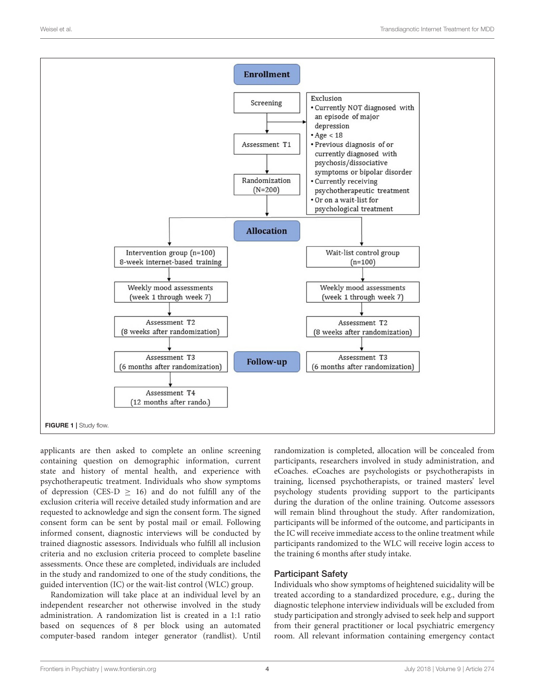

<span id="page-4-0"></span>applicants are then asked to complete an online screening containing question on demographic information, current state and history of mental health, and experience with psychotherapeutic treatment. Individuals who show symptoms of depression (CES-D  $>$  16) and do not fulfill any of the exclusion criteria will receive detailed study information and are requested to acknowledge and sign the consent form. The signed consent form can be sent by postal mail or email. Following informed consent, diagnostic interviews will be conducted by trained diagnostic assessors. Individuals who fulfill all inclusion criteria and no exclusion criteria proceed to complete baseline assessments. Once these are completed, individuals are included in the study and randomized to one of the study conditions, the guided intervention (IC) or the wait-list control (WLC) group.

Randomization will take place at an individual level by an independent researcher not otherwise involved in the study administration. A randomization list is created in a 1:1 ratio based on sequences of 8 per block using an automated computer-based random integer generator (randlist). Until randomization is completed, allocation will be concealed from participants, researchers involved in study administration, and eCoaches. eCoaches are psychologists or psychotherapists in training, licensed psychotherapists, or trained masters' level psychology students providing support to the participants during the duration of the online training. Outcome assessors will remain blind throughout the study. After randomization, participants will be informed of the outcome, and participants in the IC will receive immediate access to the online treatment while participants randomized to the WLC will receive login access to the training 6 months after study intake.

# Participant Safety

Individuals who show symptoms of heightened suicidality will be treated according to a standardized procedure, e.g., during the diagnostic telephone interview individuals will be excluded from study participation and strongly advised to seek help and support from their general practitioner or local psychiatric emergency room. All relevant information containing emergency contact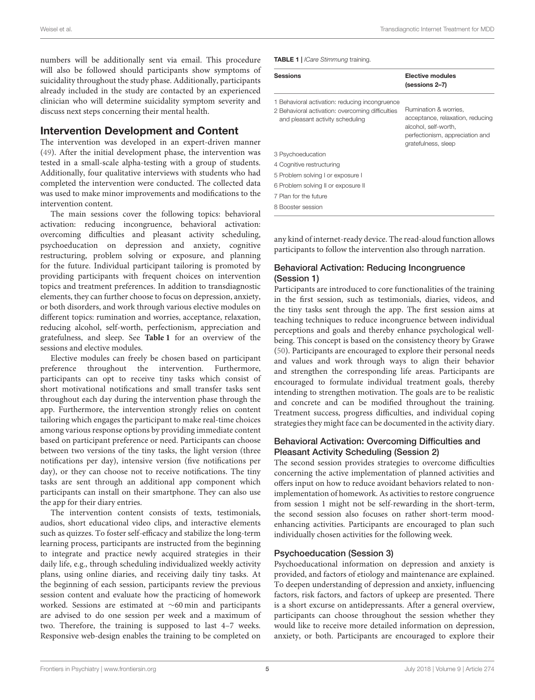numbers will be additionally sent via email. This procedure will also be followed should participants show symptoms of suicidality throughout the study phase. Additionally, participants already included in the study are contacted by an experienced clinician who will determine suicidality symptom severity and discuss next steps concerning their mental health.

# Intervention Development and Content

The intervention was developed in an expert-driven manner [\(49\)](#page-11-23). After the initial development phase, the intervention was tested in a small-scale alpha-testing with a group of students. Additionally, four qualitative interviews with students who had completed the intervention were conducted. The collected data was used to make minor improvements and modifications to the intervention content.

The main sessions cover the following topics: behavioral activation: reducing incongruence, behavioral activation: overcoming difficulties and pleasant activity scheduling, psychoeducation on depression and anxiety, cognitive restructuring, problem solving or exposure, and planning for the future. Individual participant tailoring is promoted by providing participants with frequent choices on intervention topics and treatment preferences. In addition to transdiagnostic elements, they can further choose to focus on depression, anxiety, or both disorders, and work through various elective modules on different topics: rumination and worries, acceptance, relaxation, reducing alcohol, self-worth, perfectionism, appreciation and gratefulness, and sleep. See **[Table 1](#page-5-0)** for an overview of the sessions and elective modules.

Elective modules can freely be chosen based on participant preference throughout the intervention. Furthermore, participants can opt to receive tiny tasks which consist of short motivational notifications and small transfer tasks sent throughout each day during the intervention phase through the app. Furthermore, the intervention strongly relies on content tailoring which engages the participant to make real-time choices among various response options by providing immediate content based on participant preference or need. Participants can choose between two versions of the tiny tasks, the light version (three notifications per day), intensive version (five notifications per day), or they can choose not to receive notifications. The tiny tasks are sent through an additional app component which participants can install on their smartphone. They can also use the app for their diary entries.

The intervention content consists of texts, testimonials, audios, short educational video clips, and interactive elements such as quizzes. To foster self-efficacy and stabilize the long-term learning process, participants are instructed from the beginning to integrate and practice newly acquired strategies in their daily life, e.g., through scheduling individualized weekly activity plans, using online diaries, and receiving daily tiny tasks. At the beginning of each session, participants review the previous session content and evaluate how the practicing of homework worked. Sessions are estimated at ∼60 min and participants are advised to do one session per week and a maximum of two. Therefore, the training is supposed to last 4–7 weeks. Responsive web-design enables the training to be completed on <span id="page-5-0"></span>TABLE 1 | ICare Stimmung training.

| <b>Sessions</b>                                                                                                                        | Elective modules<br>(sessions 2–7)                                                                                                          |
|----------------------------------------------------------------------------------------------------------------------------------------|---------------------------------------------------------------------------------------------------------------------------------------------|
| 1 Behavioral activation: reducing incongruence<br>2 Behavioral activation: overcoming difficulties<br>and pleasant activity scheduling | Rumination & worries.<br>acceptance, relaxation, reducing<br>alcohol, self-worth,<br>perfectionism, appreciation and<br>gratefulness, sleep |
| 3 Psychoeducation                                                                                                                      |                                                                                                                                             |
| 4 Cognitive restructuring                                                                                                              |                                                                                                                                             |
| 5 Problem solving I or exposure I                                                                                                      |                                                                                                                                             |
| 6 Problem solving II or exposure II                                                                                                    |                                                                                                                                             |
| 7 Plan for the future                                                                                                                  |                                                                                                                                             |
| 8 Booster session                                                                                                                      |                                                                                                                                             |

any kind of internet-ready device. The read-aloud function allows participants to follow the intervention also through narration.

# Behavioral Activation: Reducing Incongruence (Session 1)

Participants are introduced to core functionalities of the training in the first session, such as testimonials, diaries, videos, and the tiny tasks sent through the app. The first session aims at teaching techniques to reduce incongruence between individual perceptions and goals and thereby enhance psychological wellbeing. This concept is based on the consistency theory by Grawe [\(50\)](#page-11-24). Participants are encouraged to explore their personal needs and values and work through ways to align their behavior and strengthen the corresponding life areas. Participants are encouraged to formulate individual treatment goals, thereby intending to strengthen motivation. The goals are to be realistic and concrete and can be modified throughout the training. Treatment success, progress difficulties, and individual coping strategies they might face can be documented in the activity diary.

### Behavioral Activation: Overcoming Difficulties and Pleasant Activity Scheduling (Session 2)

The second session provides strategies to overcome difficulties concerning the active implementation of planned activities and offers input on how to reduce avoidant behaviors related to nonimplementation of homework. As activities to restore congruence from session 1 might not be self-rewarding in the short-term, the second session also focuses on rather short-term moodenhancing activities. Participants are encouraged to plan such individually chosen activities for the following week.

### Psychoeducation (Session 3)

Psychoeducational information on depression and anxiety is provided, and factors of etiology and maintenance are explained. To deepen understanding of depression and anxiety, influencing factors, risk factors, and factors of upkeep are presented. There is a short excurse on antidepressants. After a general overview, participants can choose throughout the session whether they would like to receive more detailed information on depression, anxiety, or both. Participants are encouraged to explore their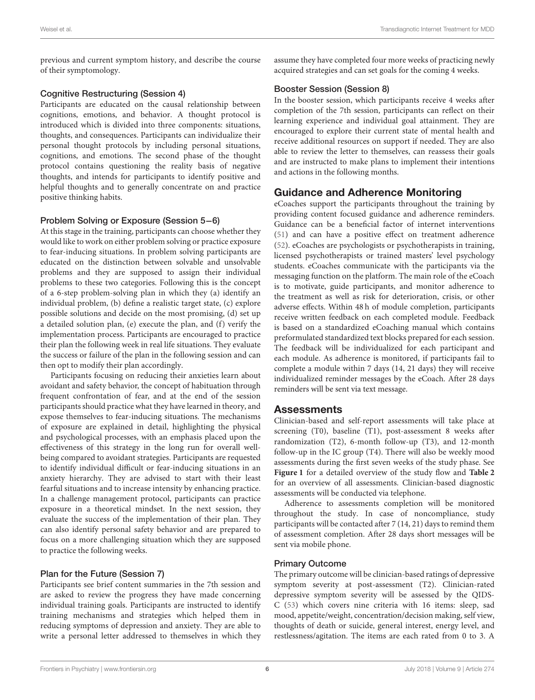previous and current symptom history, and describe the course of their symptomology.

### Cognitive Restructuring (Session 4)

Participants are educated on the causal relationship between cognitions, emotions, and behavior. A thought protocol is introduced which is divided into three components: situations, thoughts, and consequences. Participants can individualize their personal thought protocols by including personal situations, cognitions, and emotions. The second phase of the thought protocol contains questioning the reality basis of negative thoughts, and intends for participants to identify positive and helpful thoughts and to generally concentrate on and practice positive thinking habits.

### Problem Solving or Exposure (Session 5−6)

At this stage in the training, participants can choose whether they would like to work on either problem solving or practice exposure to fear-inducing situations. In problem solving participants are educated on the distinction between solvable and unsolvable problems and they are supposed to assign their individual problems to these two categories. Following this is the concept of a 6-step problem-solving plan in which they (a) identify an individual problem, (b) define a realistic target state, (c) explore possible solutions and decide on the most promising, (d) set up a detailed solution plan, (e) execute the plan, and (f) verify the implementation process. Participants are encouraged to practice their plan the following week in real life situations. They evaluate the success or failure of the plan in the following session and can then opt to modify their plan accordingly.

Participants focusing on reducing their anxieties learn about avoidant and safety behavior, the concept of habituation through frequent confrontation of fear, and at the end of the session participants should practice what they have learned in theory, and expose themselves to fear-inducing situations. The mechanisms of exposure are explained in detail, highlighting the physical and psychological processes, with an emphasis placed upon the effectiveness of this strategy in the long run for overall wellbeing compared to avoidant strategies. Participants are requested to identify individual difficult or fear-inducing situations in an anxiety hierarchy. They are advised to start with their least fearful situations and to increase intensity by enhancing practice. In a challenge management protocol, participants can practice exposure in a theoretical mindset. In the next session, they evaluate the success of the implementation of their plan. They can also identify personal safety behavior and are prepared to focus on a more challenging situation which they are supposed to practice the following weeks.

# Plan for the Future (Session 7)

Participants see brief content summaries in the 7th session and are asked to review the progress they have made concerning individual training goals. Participants are instructed to identify training mechanisms and strategies which helped them in reducing symptoms of depression and anxiety. They are able to write a personal letter addressed to themselves in which they assume they have completed four more weeks of practicing newly acquired strategies and can set goals for the coming 4 weeks.

# Booster Session (Session 8)

In the booster session, which participants receive 4 weeks after completion of the 7th session, participants can reflect on their learning experience and individual goal attainment. They are encouraged to explore their current state of mental health and receive additional resources on support if needed. They are also able to review the letter to themselves, can reassess their goals and are instructed to make plans to implement their intentions and actions in the following months.

# Guidance and Adherence Monitoring

eCoaches support the participants throughout the training by providing content focused guidance and adherence reminders. Guidance can be a beneficial factor of internet interventions [\(51\)](#page-11-25) and can have a positive effect on treatment adherence [\(52\)](#page-11-26). eCoaches are psychologists or psychotherapists in training, licensed psychotherapists or trained masters' level psychology students. eCoaches communicate with the participants via the messaging function on the platform. The main role of the eCoach is to motivate, guide participants, and monitor adherence to the treatment as well as risk for deterioration, crisis, or other adverse effects. Within 48 h of module completion, participants receive written feedback on each completed module. Feedback is based on a standardized eCoaching manual which contains preformulated standardized text blocks prepared for each session. The feedback will be individualized for each participant and each module. As adherence is monitored, if participants fail to complete a module within 7 days (14, 21 days) they will receive individualized reminder messages by the eCoach. After 28 days reminders will be sent via text message.

# Assessments

Clinician-based and self-report assessments will take place at screening (T0), baseline (T1), post-assessment 8 weeks after randomization (T2), 6-month follow-up (T3), and 12-month follow-up in the IC group (T4). There will also be weekly mood assessments during the first seven weeks of the study phase. See **[Figure 1](#page-4-0)** for a detailed overview of the study flow and **[Table 2](#page-7-0)** for an overview of all assessments. Clinician-based diagnostic assessments will be conducted via telephone.

Adherence to assessments completion will be monitored throughout the study. In case of noncompliance, study participants will be contacted after 7 (14, 21) days to remind them of assessment completion. After 28 days short messages will be sent via mobile phone.

# Primary Outcome

The primary outcome will be clinician-based ratings of depressive symptom severity at post-assessment (T2). Clinician-rated depressive symptom severity will be assessed by the QIDS-C [\(53\)](#page-11-27) which covers nine criteria with 16 items: sleep, sad mood, appetite/weight, concentration/decision making, self view, thoughts of death or suicide, general interest, energy level, and restlessness/agitation. The items are each rated from 0 to 3. A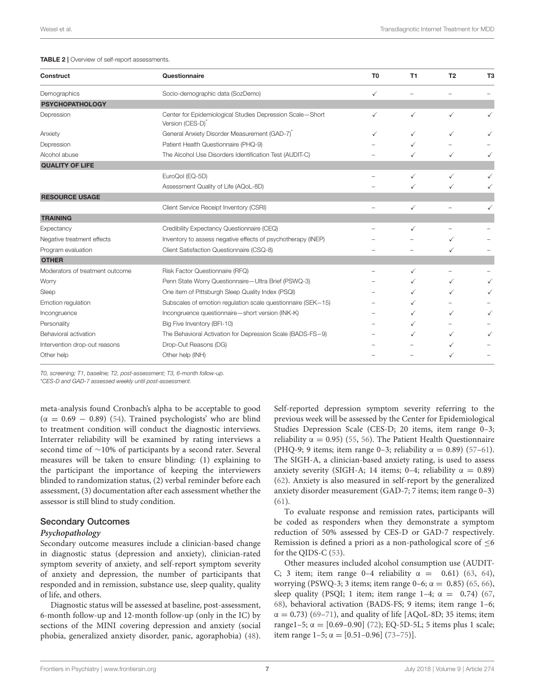<span id="page-7-0"></span>TABLE 2 | Overview of self-report assessments.

| Construct                       | Questionnaire                                                                | T <sub>0</sub>           | T1           | T <sub>2</sub>           | T <sub>3</sub> |
|---------------------------------|------------------------------------------------------------------------------|--------------------------|--------------|--------------------------|----------------|
| Demographics                    | Socio-demographic data (SozDemo)                                             | $\checkmark$             |              |                          |                |
| <b>PSYCHOPATHOLOGY</b>          |                                                                              |                          |              |                          |                |
| Depression                      | Center for Epidemiological Studies Depression Scale-Short<br>Version (CES-D) | ✓                        | ✓            | ✓                        | ✓              |
| Anxiety                         | General Anxiety Disorder Measurement (GAD-7) <sup>*</sup>                    | ✓                        | ✓            | ✓                        | ✓              |
| Depression                      | Patient Health Questionnaire (PHQ-9)                                         |                          |              |                          |                |
| Alcohol abuse                   | The Alcohol Use Disorders Identification Test (AUDIT-C)                      |                          | ✓            | ✓                        | ✓              |
| <b>QUALITY OF LIFE</b>          |                                                                              |                          |              |                          |                |
|                                 | EuroQol (EQ-5D)                                                              |                          | ✓            | ✓                        | ✓              |
|                                 | Assessment Quality of Life (AQoL-8D)                                         |                          | ✓            | ✓                        |                |
| <b>RESOURCE USAGE</b>           |                                                                              |                          |              |                          |                |
|                                 | Client Service Receipt Inventory (CSRI)                                      | $\overline{\phantom{0}}$ | ✓            | $\overline{\phantom{0}}$ | ✓              |
| <b>TRAINING</b>                 |                                                                              |                          |              |                          |                |
| Expectancy                      | Credibility Expectancy Questionnaire (CEQ)                                   |                          | $\checkmark$ |                          |                |
| Negative treatment effects      | Inventory to assess negative effects of psychotherapy (INEP)                 |                          |              | ✓                        |                |
| Program evaluation              | Client Satisfaction Questionnaire (CSQ-8)                                    |                          |              | ✓                        |                |
| <b>OTHER</b>                    |                                                                              |                          |              |                          |                |
| Moderators of treatment outcome | Risk Factor Questionnaire (RFQ)                                              |                          | ✓            |                          |                |
| Worry                           | Penn State Worry Questionnaire-Ultra Brief (PSWQ-3)                          |                          | ✓            | ✓                        |                |
| Sleep                           | One item of Pittsburgh Sleep Quality Index (PSQI)                            |                          | ✓            | ✓                        |                |
| Emotion regulation              | Subscales of emotion regulation scale questionnaire (SEK-15)                 |                          |              |                          |                |
| Incongruence                    | Incongruence questionnaire-short version (INK-K)                             |                          | ✓            | ✓                        |                |
| Personality                     | Big Five Inventory (BFI-10)                                                  |                          | ✓            |                          |                |
| Behavioral activation           | The Behavioral Activation for Depression Scale (BADS-FS-9)                   |                          | ✓            | ✓                        |                |
| Intervention drop-out reasons   | Drop-Out Reasons (DG)                                                        |                          |              |                          |                |
| Other help                      | Other help (INH)                                                             |                          |              | ✓                        |                |
|                                 |                                                                              |                          |              |                          |                |

T0, screening; T1, baseline; T2, post-assessment; T3, 6-month follow-up.

\*CES-D and GAD-7 assessed weekly until post-assessment.

meta-analysis found Cronbach's alpha to be acceptable to good (α = 0.69 − 0.89) [\(54\)](#page-11-28). Trained psychologists' who are blind to treatment condition will conduct the diagnostic interviews. Interrater reliability will be examined by rating interviews a second time of ∼10% of participants by a second rater. Several measures will be taken to ensure blinding: (1) explaining to the participant the importance of keeping the interviewers blinded to randomization status, (2) verbal reminder before each assessment, (3) documentation after each assessment whether the assessor is still blind to study condition.

#### Secondary Outcomes

#### **Psychopathology**

Secondary outcome measures include a clinician-based change in diagnostic status (depression and anxiety), clinician-rated symptom severity of anxiety, and self-report symptom severity of anxiety and depression, the number of participants that responded and in remission, substance use, sleep quality, quality of life, and others.

Diagnostic status will be assessed at baseline, post-assessment, 6-month follow-up and 12-month follow-up (only in the IC) by sections of the MINI covering depression and anxiety (social phobia, generalized anxiety disorder, panic, agoraphobia) [\(48\)](#page-11-22). Self-reported depression symptom severity referring to the previous week will be assessed by the Center for Epidemiological Studies Depression Scale (CES-D; 20 items, item range 0–3; reliability  $\alpha = 0.95$ ) [\(55,](#page-11-29) [56\)](#page-11-30). The Patient Health Questionnaire (PHQ-9; 9 items; item range 0–3; reliability  $\alpha = 0.89$ ) [\(57–](#page-11-31)[61\)](#page-12-0). The SIGH-A, a clinician-based anxiety rating, is used to assess anxiety severity (SIGH-A; 14 items; 0–4; reliability  $\alpha = 0.89$ ) [\(62\)](#page-12-1). Anxiety is also measured in self-report by the generalized anxiety disorder measurement (GAD-7; 7 items; item range 0–3) [\(61\)](#page-12-0).

To evaluate response and remission rates, participants will be coded as responders when they demonstrate a symptom reduction of 50% assessed by CES-D or GAD-7 respectively. Remission is defined a priori as a non-pathological score of  $\leq 6$ for the QIDS-C [\(53\)](#page-11-27).

Other measures included alcohol consumption use (AUDIT-C; 3 item; item range  $0-4$  reliability  $\alpha = 0.61$  [\(63,](#page-12-2) [64\)](#page-12-3), worrying (PSWQ-3; 3 items; item range 0–6; α = 0**.**85) [\(65,](#page-12-4) [66\)](#page-12-5), sleep quality (PSQI; 1 item; item range  $1-4$ ;  $\alpha = 0.74$ ) [\(67,](#page-12-6) [68\)](#page-12-7), behavioral activation (BADS-FS; 9 items; item range 1–6;  $\alpha = 0.73$ ) [\(69](#page-12-8)[–71\)](#page-12-9), and quality of life [AQoL-8D; 35 items; item range1–5;  $\alpha = [0.69-0.90]$  [\(72\)](#page-12-10); EQ-5D-5L; 5 items plus 1 scale; item range  $1-5$ ;  $\alpha = [0.51-0.96]$  (73-[75\)](#page-12-12)].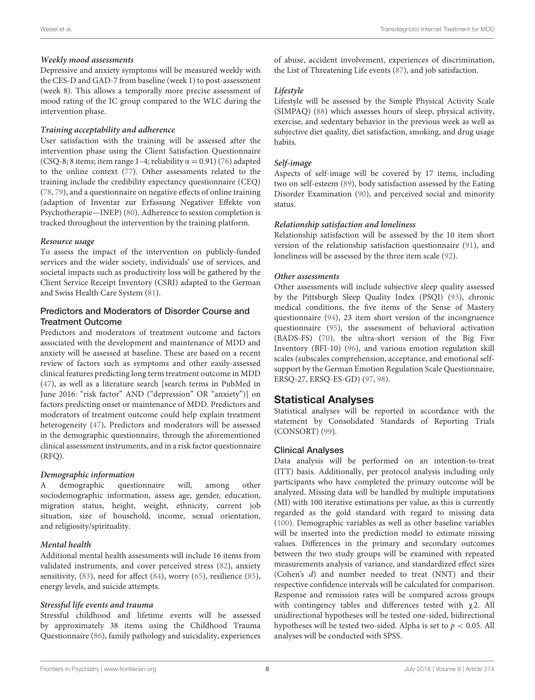### **Weekly mood assessments**

Depressive and anxiety symptoms will be measured weekly with the CES-D and GAD-7 from baseline (week 1) to post-assessment (week 8). This allows a temporally more precise assessment of mood rating of the IC group compared to the WLC during the intervention phase.

### **Training acceptability and adherence**

User satisfaction with the training will be assessed after the intervention phase using the Client Satisfaction Questionnaire (CSQ-8; 8 items; item range 1–4; reliability  $\alpha = 0.91$ ) [\(76\)](#page-12-13) adapted to the online context [\(77\)](#page-12-14). Other assessments related to the training include the credibility expectancy questionnaire (CEQ) [\(78,](#page-12-15) [79\)](#page-12-16), and a questionnaire on negative effects of online training (adaption of Inventar zur Erfassung Negativer Effekte von Psychotherapie—INEP) [\(80\)](#page-12-17). Adherence to session completion is tracked throughout the intervention by the training platform.

### **Resource usage**

To assess the impact of the intervention on publicly-funded services and the wider society, individuals' use of services, and societal impacts such as productivity loss will be gathered by the Client Service Receipt Inventory (CSRI) adapted to the German and Swiss Health Care System [\(81\)](#page-12-18).

### Predictors and Moderators of Disorder Course and Treatment Outcome

Predictors and moderators of treatment outcome and factors associated with the development and maintenance of MDD and anxiety will be assessed at baseline. These are based on a recent review of factors such as symptoms and other easily-assessed clinical features predicting long term treatment outcome in MDD [\(47\)](#page-11-21), as well as a literature search [search terms in PubMed in June 2016: "risk factor" AND ("depression" OR "anxiety")] on factors predicting onset or maintenance of MDD. Predictors and moderators of treatment outcome could help explain treatment heterogeneity [\(47\)](#page-11-21)**.** Predictors and moderators will be assessed in the demographic questionnaire, through the aforementioned clinical assessment instruments, and in a risk factor questionnaire (RFQ).

### **Demographic information**

A demographic questionnaire will, among other sociodemographic information, assess age, gender, education, migration status, height, weight, ethnicity, current job situation, size of household, income, sexual orientation, and religiosity/spirituality.

### **Mental health**

Additional mental health assessments will include 16 items from validated instruments, and cover perceived stress [\(82\)](#page-12-19), anxiety sensitivity, [\(83\)](#page-12-20), need for affect [\(84\)](#page-12-21), worry [\(65\)](#page-12-4), resilience [\(85\)](#page-12-22), energy levels, and suicide attempts.

### **Stressful life events and trauma**

Stressful childhood and lifetime events will be assessed by approximately 38 items using the Childhood Trauma Questionnaire [\(86\)](#page-12-23), family pathology and suicidality, experiences of abuse, accident involvement, experiences of discrimination, the List of Threatening Life events [\(87\)](#page-12-24), and job satisfaction.

### **Lifestyle**

Lifestyle will be assessed by the Simple Physical Activity Scale (SIMPAQ) [\(88\)](#page-12-25) which assesses hours of sleep, physical activity, exercise, and sedentary behavior in the previous week as well as subjective diet quality, diet satisfaction, smoking, and drug usage habits.

### **Self-image**

Aspects of self-image will be covered by 17 items, including two on self-esteem [\(89\)](#page-12-26), body satisfaction assessed by the Eating Disorder Examination [\(90\)](#page-12-27), and perceived social and minority status.

### **Relationship satisfaction and loneliness**

Relationship satisfaction will be assessed by the 10 item short version of the relationship satisfaction questionnaire [\(91\)](#page-12-28), and loneliness will be assessed by the three item scale [\(92\)](#page-12-29).

### **Other assessments**

Other assessments will include subjective sleep quality assessed by the Pittsburgh Sleep Quality Index (PSQI) [\(93\)](#page-12-30), chronic medical conditions, the five items of the Sense of Mastery questionnaire [\(94\)](#page-12-31), 23 item short version of the incongruence questionnaire [\(95\)](#page-12-32), the assessment of behavioral activation (BADS-FS) [\(70\)](#page-12-33), the ultra-short version of the Big Five Inventory (BFI-10) [\(96\)](#page-12-34), and various emotion regulation skill scales (subscales comprehension, acceptance, and emotional selfsupport by the German Emotion Regulation Scale Questionnaire, ERSQ-27, ERSQ-ES-GD) [\(97,](#page-12-35) [98\)](#page-12-36).

# Statistical Analyses

Statistical analyses will be reported in accordance with the statement by Consolidated Standards of Reporting Trials (CONSORT) [\(99\)](#page-12-37).

### Clinical Analyses

Data analysis will be performed on an intention-to-treat (ITT) basis. Additionally, per protocol analysis including only participants who have completed the primary outcome will be analyzed. Missing data will be handled by multiple imputations (MI) with 100 iterative estimations per value, as this is currently regarded as the gold standard with regard to missing data [\(100\)](#page-12-38). Demographic variables as well as other baseline variables will be inserted into the prediction model to estimate missing values. Differences in the primary and secondary outcomes between the two study groups will be examined with repeated measurements analysis of variance, and standardized effect sizes (Cohen's d) and number needed to treat (NNT) and their respective confidence intervals will be calculated for comparison. Response and remission rates will be compared across groups with contingency tables and differences tested with χ2. All unidirectional hypotheses will be tested one-sided, bidirectional hypotheses will be tested two-sided. Alpha is set to  $p < 0.05$ . All analyses will be conducted with SPSS.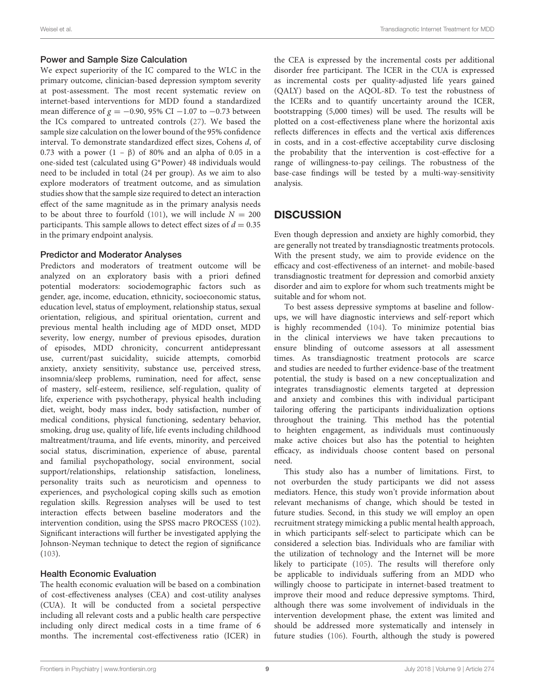### Power and Sample Size Calculation

We expect superiority of the IC compared to the WLC in the primary outcome, clinician-based depression symptom severity at post-assessment. The most recent systematic review on internet-based interventions for MDD found a standardized mean difference of  $g = -0.90$ , 95% CI  $-1.07$  to  $-0.73$  between the ICs compared to untreated controls [\(27\)](#page-11-32). We based the sample size calculation on the lower bound of the 95% confidence interval. To demonstrate standardized effect sizes, Cohens d, of 0.73 with a power (1 – β) of 80% and an alpha of 0.05 in a one-sided test (calculated using G∗Power) 48 individuals would need to be included in total (24 per group). As we aim to also explore moderators of treatment outcome, and as simulation studies show that the sample size required to detect an interaction effect of the same magnitude as in the primary analysis needs to be about three to fourfold [\(101\)](#page-13-0), we will include  $N = 200$ participants. This sample allows to detect effect sizes of  $d = 0.35$ in the primary endpoint analysis.

# Predictor and Moderator Analyses

Predictors and moderators of treatment outcome will be analyzed on an exploratory basis with a priori defined potential moderators: sociodemographic factors such as gender, age, income, education, ethnicity, socioeconomic status, education level, status of employment, relationship status, sexual orientation, religious, and spiritual orientation, current and previous mental health including age of MDD onset, MDD severity, low energy, number of previous episodes, duration of episodes, MDD chronicity, concurrent antidepressant use, current/past suicidality, suicide attempts, comorbid anxiety, anxiety sensitivity, substance use, perceived stress, insomnia/sleep problems, rumination, need for affect, sense of mastery, self-esteem, resilience, self-regulation, quality of life, experience with psychotherapy, physical health including diet, weight, body mass index, body satisfaction, number of medical conditions, physical functioning, sedentary behavior, smoking, drug use, quality of life, life events including childhood maltreatment/trauma, and life events, minority, and perceived social status, discrimination, experience of abuse, parental and familial psychopathology, social environment, social support/relationships, relationship satisfaction, loneliness, personality traits such as neuroticism and openness to experiences, and psychological coping skills such as emotion regulation skills. Regression analyses will be used to test interaction effects between baseline moderators and the intervention condition, using the SPSS macro PROCESS [\(102\)](#page-13-1). Significant interactions will further be investigated applying the Johnson-Neyman technique to detect the region of significance [\(103\)](#page-13-2).

# Health Economic Evaluation

The health economic evaluation will be based on a combination of cost-effectiveness analyses (CEA) and cost-utility analyses (CUA). It will be conducted from a societal perspective including all relevant costs and a public health care perspective including only direct medical costs in a time frame of 6 months. The incremental cost-effectiveness ratio (ICER) in the CEA is expressed by the incremental costs per additional disorder free participant. The ICER in the CUA is expressed as incremental costs per quality-adjusted life years gained (QALY) based on the AQOL-8D. To test the robustness of the ICERs and to quantify uncertainty around the ICER, bootstrapping (5,000 times) will be used. The results will be plotted on a cost-effectiveness plane where the horizontal axis reflects differences in effects and the vertical axis differences

in costs, and in a cost-effective acceptability curve disclosing the probability that the intervention is cost-effective for a range of willingness-to-pay ceilings. The robustness of the base-case findings will be tested by a multi-way-sensitivity analysis.

# **DISCUSSION**

Even though depression and anxiety are highly comorbid, they are generally not treated by transdiagnostic treatments protocols. With the present study, we aim to provide evidence on the efficacy and cost-effectiveness of an internet- and mobile-based transdiagnostic treatment for depression and comorbid anxiety disorder and aim to explore for whom such treatments might be suitable and for whom not.

To best assess depressive symptoms at baseline and followups, we will have diagnostic interviews and self-report which is highly recommended [\(104\)](#page-13-3). To minimize potential bias in the clinical interviews we have taken precautions to ensure blinding of outcome assessors at all assessment times. As transdiagnostic treatment protocols are scarce and studies are needed to further evidence-base of the treatment potential, the study is based on a new conceptualization and integrates transdiagnostic elements targeted at depression and anxiety and combines this with individual participant tailoring offering the participants individualization options throughout the training. This method has the potential to heighten engagement, as individuals must continuously make active choices but also has the potential to heighten efficacy, as individuals choose content based on personal need.

This study also has a number of limitations. First, to not overburden the study participants we did not assess mediators. Hence, this study won't provide information about relevant mechanisms of change, which should be tested in future studies. Second, in this study we will employ an open recruitment strategy mimicking a public mental health approach, in which participants self-select to participate which can be considered a selection bias. Individuals who are familiar with the utilization of technology and the Internet will be more likely to participate [\(105\)](#page-13-4). The results will therefore only be applicable to individuals suffering from an MDD who willingly choose to participate in internet-based treatment to improve their mood and reduce depressive symptoms. Third, although there was some involvement of individuals in the intervention development phase, the extent was limited and should be addressed more systematically and intensely in future studies [\(106\)](#page-13-5). Fourth, although the study is powered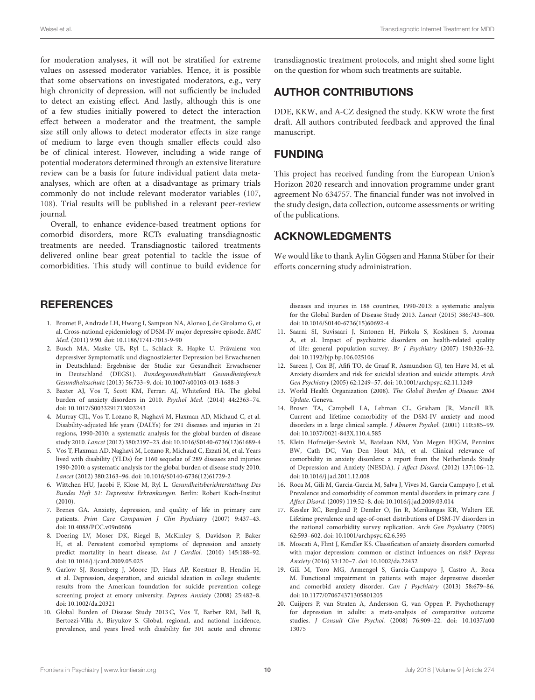for moderation analyses, it will not be stratified for extreme values on assessed moderator variables. Hence, it is possible that some observations on investigated moderators, e.g., very high chronicity of depression, will not sufficiently be included to detect an existing effect. And lastly, although this is one of a few studies initially powered to detect the interaction effect between a moderator and the treatment, the sample size still only allows to detect moderator effects in size range of medium to large even though smaller effects could also be of clinical interest. However, including a wide range of potential moderators determined through an extensive literature review can be a basis for future individual patient data metaanalyses, which are often at a disadvantage as primary trials commonly do not include relevant moderator variables [\(107,](#page-13-6) [108\)](#page-13-7). Trial results will be published in a relevant peer-review journal.

Overall, to enhance evidence-based treatment options for comorbid disorders, more RCTs evaluating transdiagnostic treatments are needed. Transdiagnostic tailored treatments delivered online bear great potential to tackle the issue of comorbidities. This study will continue to build evidence for

# **REFERENCES**

- <span id="page-10-0"></span>1. Bromet E, Andrade LH, Hwang I, Sampson NA, Alonso J, de Girolamo G, et al. Cross-national epidemiology of DSM-IV major depressive episode. BMC Med. (2011) 9:90. doi: [10.1186/1741-7015-9-90](https://doi.org/10.1186/1741-7015-9-90)
- <span id="page-10-1"></span>2. Busch MA, Maske UE, Ryl L, Schlack R, Hapke U. Prävalenz von depressiver Symptomatik und diagnostizierter Depression bei Erwachsenen in Deutschland: Ergebnisse der Studie zur Gesundheit Erwachsener in Deutschland (DEGS1). Bundesgesundheitsblatt Gesundheitsforsch Gesundheitsschutz (2013) 56:733–9. doi: [10.1007/s00103-013-1688-3](https://doi.org/10.1007/s00103-013-1688-3)
- <span id="page-10-2"></span>3. Baxter AJ, Vos T, Scott KM, Ferrari AJ, Whiteford HA. The global burden of anxiety disorders in 2010. Psychol Med. (2014) 44:2363–74. doi: [10.1017/S0033291713003243](https://doi.org/10.1017/S0033291713003243)
- 4. Murray CJL, Vos T, Lozano R, Naghavi M, Flaxman AD, Michaud C, et al. Disability-adjusted life years (DALYs) for 291 diseases and injuries in 21 regions, 1990-2010: a systematic analysis for the global burden of disease study 2010. Lancet (2012) 380:2197–23. doi: [10.1016/S0140-6736\(12\)61689-4](https://doi.org/10.1016/S0140-6736(12)61689-4)
- <span id="page-10-3"></span>5. Vos T, Flaxman AD, Naghavi M, Lozano R, Michaud C, Ezzati M, et al. Years lived with disability (YLDs) for 1160 sequelae of 289 diseases and injuries 1990-2010: a systematic analysis for the global burden of disease study 2010. Lancet (2012) 380:2163–96. doi: [10.1016/S0140-6736\(12\)61729-2](https://doi.org/10.1016/S0140-6736(12)61729-2)
- <span id="page-10-4"></span>6. Wittchen HU, Jacobi F, Klose M, Ryl L. Gesundheitsberichterstattung Des Bundes Heft 51: Depressive Erkrankungen. Berlin: Robert Koch-Institut (2010).
- <span id="page-10-5"></span>7. Brenes GA. Anxiety, depression, and quality of life in primary care patients. Prim Care Companion J Clin Psychiatry (2007) 9:437–43. doi: [10.4088/PCC.v09n0606](https://doi.org/10.4088/PCC.v09n0606)
- <span id="page-10-11"></span>8. Doering LV, Moser DK, Riegel B, McKinley S, Davidson P, Baker H, et al. Persistent comorbid symptoms of depression and anxiety predict mortality in heart disease. Int J Cardiol. (2010) 145:188–92. doi: [10.1016/j.ijcard.2009.05.025](https://doi.org/10.1016/j.ijcard.2009.05.025)
- 9. Garlow SJ, Rosenberg J, Moore JD, Haas AP, Koestner B, Hendin H, et al. Depression, desperation, and suicidal ideation in college students: results from the American foundation for suicide prevention college screening project at emory university. Depress Anxiety (2008) 25:482–8. doi: [10.1002/da.20321](https://doi.org/10.1002/da.20321)
- 10. Global Burden of Disease Study 2013 C, Vos T, Barber RM, Bell B, Bertozzi-Villa A, Biryukov S. Global, regional, and national incidence, prevalence, and years lived with disability for 301 acute and chronic

transdiagnostic treatment protocols, and might shed some light on the question for whom such treatments are suitable.

# AUTHOR CONTRIBUTIONS

DDE, KKW, and A-CZ designed the study. KKW wrote the first draft. All authors contributed feedback and approved the final manuscript.

# FUNDING

This project has received funding from the European Union's Horizon 2020 research and innovation programme under grant agreement No 634757. The financial funder was not involved in the study design, data collection, outcome assessments or writing of the publications.

# ACKNOWLEDGMENTS

We would like to thank Aylin Gögsen and Hanna Stüber for their efforts concerning study administration.

diseases and injuries in 188 countries, 1990-2013: a systematic analysis for the Global Burden of Disease Study 2013. Lancet (2015) 386:743–800. doi: [10.1016/S0140-6736\(15\)60692-4](https://doi.org/10.1016/S0140-6736(15)60692-4)

- 11. Saarni SI, Suvisaari J, Sintonen H, Pirkola S, Koskinen S, Aromaa A, et al. Impact of psychiatric disorders on health-related quality of life: general population survey. Br J Psychiatry (2007) 190:326–32. doi: [10.1192/bjp.bp.106.025106](https://doi.org/10.1192/bjp.bp.106.025106)
- 12. Sareen J, Cox BJ, Afifi TO, de Graaf R, Asmundson GJ, ten Have M, et al. Anxiety disorders and risk for suicidal ideation and suicide attempts. Arch Gen Psychiatry (2005) 62:1249–57. doi: [10.1001/archpsyc.62.11.1249](https://doi.org/10.1001/archpsyc.62.11.1249)
- <span id="page-10-6"></span>13. World Health Organization (2008). The Global Burden of Disease: 2004 Update. Geneva.
- <span id="page-10-7"></span>14. Brown TA, Campbell LA, Lehman CL, Grisham JR, Mancill RB. Current and lifetime comorbidity of the DSM-IV anxiety and mood disorders in a large clinical sample. J Abnorm Psychol. (2001) 110:585–99. doi: [10.1037/0021-843X.110.4.585](https://doi.org/10.1037/0021-843X.110.4.585)
- <span id="page-10-14"></span>15. Klein Hofmeijer-Sevink M, Batelaan NM, Van Megen HJGM, Penninx BW, Cath DC, Van Den Hout MA, et al. Clinical relevance of comorbidity in anxiety disorders: a report from the Netherlands Study of Depression and Anxiety (NESDA). J Affect Disord. (2012) 137:106–12. doi: [10.1016/j.jad.2011.12.008](https://doi.org/10.1016/j.jad.2011.12.008)
- <span id="page-10-8"></span>16. Roca M, Gili M, Garcia-Garcia M, Salva J, Vives M, Garcia Campayo J, et al. Prevalence and comorbidity of common mental disorders in primary care. J Affect Disord. (2009) 119:52–8. doi: [10.1016/j.jad.2009.03.014](https://doi.org/10.1016/j.jad.2009.03.014)
- <span id="page-10-9"></span>17. Kessler RC, Berglund P, Demler O, Jin R, Merikangas KR, Walters EE. Lifetime prevalence and age-of-onset distributions of DSM-IV disorders in the national comorbidity survey replication. Arch Gen Psychiatry (2005) 62:593–602. doi: [10.1001/archpsyc.62.6.593](https://doi.org/10.1001/archpsyc.62.6.593)
- <span id="page-10-10"></span>18. Moscati A, Flint J, Kendler KS. Classification of anxiety disorders comorbid with major depression: common or distinct influences on risk? Depress Anxiety (2016) 33:120–7. doi: [10.1002/da.22432](https://doi.org/10.1002/da.22432)
- <span id="page-10-12"></span>19. Gili M, Toro MG, Armengol S, Garcia-Campayo J, Castro A, Roca M. Functional impairment in patients with major depressive disorder and comorbid anxiety disorder. Can J Psychiatry (2013) 58:679–86. doi: [10.1177/070674371305801205](https://doi.org/10.1177/070674371305801205)
- <span id="page-10-13"></span>20. Cuijpers P, van Straten A, Andersson G, van Oppen P. Psychotherapy for depression in adults: a meta-analysis of comparative outcome studies. J Consult Clin Psychol. [\(2008\) 76:909–22. doi: 10.1037/a00](https://doi.org/10.1037/a0013075) 13075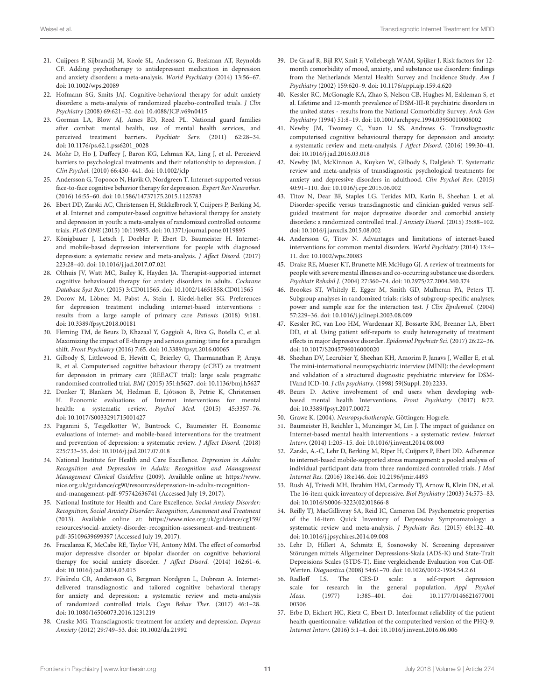- 21. Cuijpers P, Sijbrandij M, Koole SL, Andersson G, Beekman AT, Reynolds CF. Adding psychotherapy to antidepressant medication in depression and anxiety disorders: a meta-analysis. World Psychiatry (2014) 13:56–67. doi: [10.1002/wps.20089](https://doi.org/10.1002/wps.20089)
- <span id="page-11-0"></span>22. Hofmann SG, Smits JAJ. Cognitive-behavioral therapy for adult anxiety disorders: a meta-analysis of randomized placebo-controlled trials. J Clin Psychiatry (2008) 69:621–32. doi: [10.4088/JCP.v69n0415](https://doi.org/10.4088/JCP.v69n0415)
- <span id="page-11-1"></span>23. Gorman LA, Blow AJ, Ames BD, Reed PL. National guard families after combat: mental health, use of mental health services, and perceived treatment barriers. Psychiatr Serv. (2011) 62:28–34. doi: [10.1176/ps.62.1.pss6201\\_0028](https://doi.org/10.1176/ps.62.1.pss6201_0028)
- <span id="page-11-2"></span>24. Mohr D, Ho J, Duffecy J, Baron KG, Lehman KA, Ling J, et al. Perceievd barriers to psychological treatments and their relationship to depression. J Clin Psychol. (2010) 66:430–441. doi: [10.1002/jclp](https://doi.org/10.1002/jclp)
- <span id="page-11-3"></span>25. Andersson G, Topooco N, Havik O, Nordgreen T. Internet-supported versus face-to-face cognitive behavior therapy for depression. Expert Rev Neurother. (2016) 16:55–60. doi: [10.1586/14737175.2015.1125783](https://doi.org/10.1586/14737175.2015.1125783)
- 26. Ebert DD, Zarski AC, Christensen H, Stikkelbroek Y, Cuijpers P, Berking M, et al. Internet and computer-based cognitive behavioral therapy for anxiety and depression in youth: a meta-analysis of randomized controlled outcome trials. PLoS ONE (2015) 10:119895. doi: [10.1371/journal.pone.0119895](https://doi.org/10.1371/journal.pone.0119895)
- <span id="page-11-32"></span>27. Königbauer J, Letsch J, Doebler P, Ebert D, Baumeister H. Internetand mobile-based depression interventions for people with diagnosed depression: a systematic review and meta-analysis. J Affect Disord. (2017) 223:28–40. doi: [10.1016/j.jad.2017.07.021](https://doi.org/10.1016/j.jad.2017.07.021)
- <span id="page-11-4"></span>28. Olthuis JV, Watt MC, Bailey K, Hayden JA. Therapist-supported internet cognitive behavioural therapy for anxiety disorders in adults. Cochrane Database Syst Rev. (2015) 3:CD011565. doi: [10.1002/14651858.CD011565](https://doi.org/10.1002/14651858.CD011565)
- <span id="page-11-5"></span>29. Dorow M, Löbner M, Pabst A, Stein J, Riedel-heller SG. Preferences for depression treatment including internet-based interventions : results from a large sample of primary care Patients (2018) 9:181. doi: [10.3389/fpsyt.2018.00181](https://doi.org/10.3389/fpsyt.2018.00181)
- 30. Fleming TM, de Beurs D, Khazaal Y, Gaggioli A, Riva G, Botella C, et al. Maximizing the impact of E-therapy and serious gaming: time for a paradigm shift. Front Psychiatry (2016) 7:65. doi: [10.3389/fpsyt.2016.00065](https://doi.org/10.3389/fpsyt.2016.00065)
- <span id="page-11-6"></span>31. Gilbody S, Littlewood E, Hewitt C, Brierley G, Tharmanathan P, Araya R, et al. Computerised cognitive behaviour therapy (cCBT) as treatment for depression in primary care (REEACT trial): large scale pragmatic randomised controlled trial. BMJ (2015) 351:h5627. doi: [10.1136/bmj.h5627](https://doi.org/10.1136/bmj.h5627)
- <span id="page-11-7"></span>32. Donker T, Blankers M, Hedman E, Ljótsson B, Petrie K, Christensen H. Economic evaluations of Internet interventions for mental health: a systematic review. Psychol Med. (2015) 45:3357–76. doi: [10.1017/S0033291715001427](https://doi.org/10.1017/S0033291715001427)
- <span id="page-11-8"></span>33. Paganini S, Teigelkötter W, Buntrock C, Baumeister H. Economic evaluations of internet- and mobile-based interventions for the treatment and prevention of depression: a systematic review. J Affect Disord. (2018) 225:733–55. doi: [10.1016/j.jad.2017.07.018](https://doi.org/10.1016/j.jad.2017.07.018)
- <span id="page-11-9"></span>34. National Institute for Health and Care Excellence. Depression in Adults: Recognition and Depression in Adults: Recognition and Management Management Clinical Guideline (2009). Available online at: [https://www.](https://www.nice.org.uk/guidance/cg90/resources/depression-in-adults-recognition-and-management-pdf-975742636741) [nice.org.uk/guidance/cg90/resources/depression-in-adults-recognition](https://www.nice.org.uk/guidance/cg90/resources/depression-in-adults-recognition-and-management-pdf-975742636741)[and-management-pdf-975742636741](https://www.nice.org.uk/guidance/cg90/resources/depression-in-adults-recognition-and-management-pdf-975742636741) (Accessed July 19, 2017).
- <span id="page-11-10"></span>35. National Institute for Health and Care Excellence. Social Anxiety Disorder: Recognition, Social Anxiety Disorder: Recognition, Assessment and Treatment (2013). Available online at: [https://www.nice.org.uk/guidance/cg159/](https://www.nice.org.uk/guidance/cg159/resources/social-anxiety-disorder-recognition-assessment-and-treatment-pdf-35109639699397) [resources/social-anxiety-disorder-recognition-assessment-and-treatment](https://www.nice.org.uk/guidance/cg159/resources/social-anxiety-disorder-recognition-assessment-and-treatment-pdf-35109639699397)[pdf-35109639699397](https://www.nice.org.uk/guidance/cg159/resources/social-anxiety-disorder-recognition-assessment-and-treatment-pdf-35109639699397) (Accessed July 19, 2017).
- <span id="page-11-11"></span>36. Fracalanza K, McCabe RE, Taylor VH, Antony MM. The effect of comorbid major depressive disorder or bipolar disorder on cognitive behavioral therapy for social anxiety disorder. J Affect Disord. (2014) 162:61–6. doi: [10.1016/j.jad.2014.03.015](https://doi.org/10.1016/j.jad.2014.03.015)
- <span id="page-11-12"></span>37. Păsărelu CR, Andersson G, Bergman Nordgren L, Dobrean A. Internetdelivered transdiagnostic and tailored cognitive behavioral therapy for anxiety and depression: a systematic review and meta-analysis of randomized controlled trials. Cogn Behav Ther. (2017) 46:1–28. doi: [10.1080/16506073.2016.1231219](https://doi.org/10.1080/16506073.2016.1231219)
- <span id="page-11-13"></span>38. Craske MG. Transdiagnostic treatment for anxiety and depression. Depress Anxiety (2012) 29:749–53. doi: [10.1002/da.21992](https://doi.org/10.1002/da.21992)
- 39. De Graaf R, Bijl RV, Smit F, Vollebergh WAM, Spijker J. Risk factors for 12 month comorbidity of mood, anxiety, and substance use disorders: findings from the Netherlands Mental Health Survey and Incidence Study. Am J Psychiatry (2002) 159:620–9. doi: [10.1176/appi.ajp.159.4.620](https://doi.org/10.1176/appi.ajp.159.4.620)
- <span id="page-11-14"></span>40. Kessler RC, McGonagle KA, Zhao S, Nelson CB, Hughes M, Eshleman S, et al. Lifetime and 12-month prevalence of DSM-III-R psychiatric disorders in the united states - results from the National Comorbidity Survey. Arch Gen Psychiatry (1994) 51:8–19. doi: [10.1001/archpsyc.1994.03950010008002](https://doi.org/10.1001/archpsyc.1994.03950010008002)
- <span id="page-11-15"></span>41. Newby JM, Twomey C, Yuan Li SS, Andrews G. Transdiagnostic computerised cognitive behavioural therapy for depression and anxiety: a systematic review and meta-analysis. J Affect Disord. (2016) 199:30–41. doi: [10.1016/j.jad.2016.03.018](https://doi.org/10.1016/j.jad.2016.03.018)
- <span id="page-11-16"></span>42. Newby JM, McKinnon A, Kuyken W, Gilbody S, Dalgleish T. Systematic review and meta-analysis of transdiagnostic psychological treatments for anxiety and depressive disorders in adulthood. Clin Psychol Rev. (2015) 40:91–110. doi: [10.1016/j.cpr.2015.06.002](https://doi.org/10.1016/j.cpr.2015.06.002)
- <span id="page-11-17"></span>43. Titov N, Dear BF, Staples LG, Terides MD, Karin E, Sheehan J, et al. Disorder-specific versus transdiagnostic and clinician-guided versus selfguided treatment for major depressive disorder and comorbid anxiety disorders: a randomized controlled trial. J Anxiety Disord. (2015) 35:88–102. doi: [10.1016/j.janxdis.2015.08.002](https://doi.org/10.1016/j.janxdis.2015.08.002)
- <span id="page-11-18"></span>44. Andersson G, Titov N. Advantages and limitations of internet-based interventions for common mental disorders. World Psychiatry (2014) 13:4– 11. doi: [10.1002/wps.20083](https://doi.org/10.1002/wps.20083)
- <span id="page-11-19"></span>45. Drake RE, Mueser KT, Brunette MF, McHugo GJ. A review of treatments for people with severe mental illnesses and co-occurring substance use disorders. Psychiatr Rehabil J. (2004) 27:360–74. doi: [10.2975/27.2004.360.374](https://doi.org/10.2975/27.2004.360.374)
- <span id="page-11-20"></span>46. Brookes ST, Whitely E, Egger M, Smith GD, Mulheran PA, Peters TJ. Subgroup analyses in randomized trials: risks of subgroup-specific analyses; power and sample size for the interaction test. J Clin Epidemiol. (2004) 57:229–36. doi: [10.1016/j.jclinepi.2003.08.009](https://doi.org/10.1016/j.jclinepi.2003.08.009)
- <span id="page-11-21"></span>47. Kessler RC, van Loo HM, Wardenaar KJ, Bossarte RM, Brenner LA, Ebert DD, et al. Using patient self-reports to study heterogeneity of treatment effects in major depressive disorder. Epidemiol Psychiatr Sci. (2017) 26:22–36. doi: [10.1017/S2045796016000020](https://doi.org/10.1017/S2045796016000020)
- <span id="page-11-22"></span>48. Sheehan DV, Lecrubier Y, Sheehan KH, Amorim P, Janavs J, Weiller E, et al. The mini-international neuropsychiatric interview (MINI): the development and validation of a structured diagnostic psychiatric interview for DSM-IVand ICD-10. J clin psychiatry. (1998) 59(Suppl. 20):2233.
- <span id="page-11-23"></span>49. Beurs D. Active involvement of end users when developing webbased mental health Interventions. Front Psychiatry (2017) 8:72. doi: [10.3389/fpsyt.2017.00072](https://doi.org/10.3389/fpsyt.2017.00072)
- <span id="page-11-24"></span>50. Grawe K. (2004). Neuropsychotherapie. Göttingen: Hogrefe.
- <span id="page-11-25"></span>51. Baumeister H, Reichler L, Munzinger M, Lin J. The impact of guidance on Internet-based mental health interventions - a systematic review. Internet Interv. (2014) 1:205–15. doi: [10.1016/j.invent.2014.08.003](https://doi.org/10.1016/j.invent.2014.08.003)
- <span id="page-11-26"></span>52. Zarski, A.-C, Lehr D, Berking M, Riper H, Cuijpers P, Ebert DD. Adherence to internet-based mobile-supported stress management: a pooled analysis of individual participant data from three randomized controlled trials. J Med Internet Res. (2016) 18:e146. doi: [10.2196/jmir.4493](https://doi.org/10.2196/jmir.4493)
- <span id="page-11-27"></span>53. Rush AJ, Trivedi MH, Ibrahim HM, Carmody TJ, Arnow B, Klein DN, et al. The 16-item quick inventory of depressive. Biol Psychiatry (2003) 54:573–83. doi: [10.1016/S0006-3223\(02\)01866-8](https://doi.org/10.1016/S0006-3223(02)01866-8)
- <span id="page-11-28"></span>54. Reilly TJ, MacGillivray SA, Reid IC, Cameron IM. Psychometric properties of the 16-item Quick Inventory of Depressive Symptomatology: a systematic review and meta-analysis. J Psychiatr Res. (2015) 60:132–40. doi: [10.1016/j.jpsychires.2014.09.008](https://doi.org/10.1016/j.jpsychires.2014.09.008)
- <span id="page-11-29"></span>55. Lehr D, Hillert A, Schmitz E, Sosnowsky N. Screening depressiver Störungen mittels Allgemeiner Depressions-Skala (ADS-K) und State-Trait Depressions Scales (STDS-T). Eine vergleichende Evaluation von Cut-Off-Werten. Diagnostica (2008) 54:61–70. doi: [10.1026/0012-1924.54.2.61](https://doi.org/10.1026/0012-1924.54.2.61)
- <span id="page-11-30"></span>56. Radloff LS. The CES-D scale: a self-report depression scale for research in the general population. Appl Psychol Meas. [\(1977\) 1:385–401. doi: 10.1177/0146621677001](https://doi.org/10.1177/014662167700100306) 00306
- <span id="page-11-31"></span>57. Erbe D, Eichert HC, Rietz C, Ebert D. Interformat reliability of the patient health questionnaire: validation of the computerized version of the PHQ-9. Internet Interv. (2016) 5:1–4. doi: [10.1016/j.invent.2016.06.006](https://doi.org/10.1016/j.invent.2016.06.006)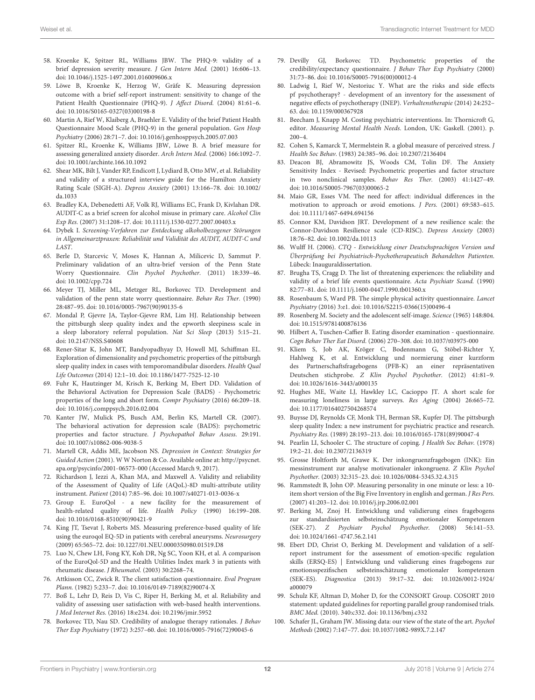- 58. Kroenke K, Spitzer RL, Williams JBW. The PHQ-9: validity of a brief depression severity measure. J Gen Intern Med. (2001) 16:606–13. doi: [10.1046/j.1525-1497.2001.016009606.x](https://doi.org/10.1046/j.1525-1497.2001.016009606.x)
- 59. Löwe B, Kroenke K, Herzog W, Gräfe K. Measuring depression outcome with a brief self-report instrument: sensitivity to change of the Patient Health Questionnaire (PHQ-9). J Affect Disord. (2004) 81:61–6. doi: [10.1016/S0165-0327\(03\)00198-8](https://doi.org/10.1016/S0165-0327(03)00198-8)
- 60. Martin A, Rief W, Klaiberg A, Braehler E. Validity of the brief Patient Health Questionnaire Mood Scale (PHQ-9) in the general population. Gen Hosp Psychiatry (2006) 28:71–7. doi: [10.1016/j.genhosppsych.2005.07.003](https://doi.org/10.1016/j.genhosppsych.2005.07.003)
- <span id="page-12-0"></span>61. Spitzer RL, Kroenke K, Williams JBW, Löwe B. A brief measure for assessing generalized anxiety disorder. Arch Intern Med. (2006) 166:1092–7. doi: [10.1001/archinte.166.10.1092](https://doi.org/10.1001/archinte.166.10.1092)
- <span id="page-12-1"></span>62. Shear MK, Bilt J, Vander RP, Endicott J, Lydiard B, Otto MW, et al. Reliability and validity of a structured interview guide for the Hamilton Anxiety Rating Scale (SIGH-A). Depress Anxiety [\(2001\) 13:166–78. doi: 10.1002/](https://doi.org/10.1002/da.1033) da.1033
- <span id="page-12-2"></span>63. Bradley KA, Debenedetti AF, Volk RJ, Williams EC, Frank D, Kivlahan DR. AUDIT-C as a brief screen for alcohol misuse in primary care. Alcohol Clin Exp Res. (2007) 31:1208–17. doi: [10.1111/j.1530-0277.2007.00403.x](https://doi.org/10.1111/j.1530-0277.2007.00403.x)
- <span id="page-12-3"></span>64. Dybek I. Screening-Verfahren zur Entdeckung alkoholbezogener Störungen in Allgemeinarztpraxen: Reliabilität und Validität des AUDIT, AUDIT-C und LAST.
- <span id="page-12-4"></span>65. Berle D, Starcevic V, Moses K, Hannan A, Milicevic D, Sammut P. Preliminary validation of an ultra-brief version of the Penn State Worry Questionnaire. Clin Psychol Psychother. (2011) 18:339–46. doi: [10.1002/cpp.724](https://doi.org/10.1002/cpp.724)
- <span id="page-12-5"></span>66. Meyer TJ, Miller ML, Metzger RL, Borkovec TD. Development and validation of the penn state worry questionnaire. Behav Res Ther. (1990) 28:487–95. doi: [10.1016/0005-7967\(90\)90135-6](https://doi.org/10.1016/0005-7967(90)90135-6)
- <span id="page-12-6"></span>67. Mondal P, Gjevre JA, Taylor-Gjevre RM, Lim HJ. Relationship between the pittsburgh sleep quality index and the epworth sleepiness scale in a sleep laboratory referral population. Nat Sci Sleep (2013) 5:15–21. doi: [10.2147/NSS.S40608](https://doi.org/10.2147/NSS.S40608)
- <span id="page-12-7"></span>68. Rener-Sitar K, John MT, Bandyopadhyay D, Howell MJ, Schiffman EL. Exploration of dimensionality and psychometric properties of the pittsburgh sleep quality index in cases with temporomandibular disorders. Health Qual Life Outcomes (2014) 12:1–10. doi: [10.1186/1477-7525-12-10](https://doi.org/10.1186/1477-7525-12-10)
- <span id="page-12-8"></span>69. Fuhr K, Hautzinger M, Krisch K, Berking M, Ebert DD. Validation of the Behavioral Activation for Depression Scale (BADS) - Psychometric properties of the long and short form. Compr Psychiatry (2016) 66:209–18. doi: [10.1016/j.comppsych.2016.02.004](https://doi.org/10.1016/j.comppsych.2016.02.004)
- <span id="page-12-33"></span>70. Kanter JW, Mulick PS, Busch AM, Berlin KS, Martell CR. (2007). The behavioral activation for depression scale (BADS): psychometric properties and factor structure. J Psychopathol Behav Assess. 29:191. doi: [10.1007/s10862-006-9038-5](https://doi.org/10.1007/s10862-006-9038-5)
- <span id="page-12-9"></span>71. Martell CR, Addis ME, Jacobson NS. Depression in Context: Strategies for Guided Action (2001). W W Norton & Co. Available online at: [http://psycnet.](http://psycnet.apa.org/psycinfo/2001-06573-000) [apa.org/psycinfo/2001-06573-000](http://psycnet.apa.org/psycinfo/2001-06573-000) (Accessed March 9, 2017).
- <span id="page-12-10"></span>72. Richardson J, Iezzi A, Khan MA, and Maxwell A. Validity and reliability of the Assessment of Quality of Life (AQoL)-8D multi-attribute utility instrument. Patient (2014) 7:85–96. doi: [10.1007/s40271-013-0036-x](https://doi.org/10.1007/s40271-013-0036-x)
- <span id="page-12-11"></span>73. Group E. EuroQol - a new facility for the measurement of health-related quality of life. Health Policy (1990) 16:199–208. doi: [10.1016/0168-8510\(90\)90421-9](https://doi.org/10.1016/0168-8510(90)90421-9)
- 74. King JT, Tsevat J, Roberts MS. Measuring preference-based quality of life using the euroqol EQ-5D in patients with cerebral aneurysms. Neurosurgery (2009) 65:565–72. doi: [10.1227/01.NEU.0000350980.01519.D8](https://doi.org/10.1227/01.NEU.0000350980.01519.D8)
- <span id="page-12-12"></span>75. Luo N, Chew LH, Fong KY, Koh DR, Ng SC, Yoon KH, et al. A comparison of the EuroQol-5D and the Health Utilities Index mark 3 in patients with rheumatic disease. J Rheumatol. (2003) 30:2268–74.
- <span id="page-12-13"></span>76. Attkisson CC, Zwick R. The client satisfaction questionnaire. Eval Program Plann. (1982) 5:233–7. doi: [10.1016/0149-7189\(82\)90074-X](https://doi.org/10.1016/0149-7189(82)90074-X)
- <span id="page-12-14"></span>77. Boß L, Lehr D, Reis D, Vis C, Riper H, Berking M, et al. Reliability and validity of assessing user satisfaction with web-based health interventions. J Med Internet Res. (2016) 18:e234. doi: [10.2196/jmir.5952](https://doi.org/10.2196/jmir.5952)
- <span id="page-12-15"></span>78. Borkovec TD, Nau SD. Credibility of analogue therapy rationales. J Behav Ther Exp Psychiatry (1972) 3:257–60. doi: [10.1016/0005-7916\(72\)90045-6](https://doi.org/10.1016/0005-7916(72)90045-6)
- <span id="page-12-16"></span>79. Devilly GJ, Borkovec TD. Psychometric properties of the credibility/expectancy questionnaire. J Behav Ther Exp Psychiatry (2000) 31:73–86. doi: [10.1016/S0005-7916\(00\)00012-4](https://doi.org/10.1016/S0005-7916(00)00012-4)
- <span id="page-12-17"></span>80. Ladwig I, Rief W, Nestoriuc Y. What are the risks and side effects pf psychotherapy? - development of an inventory for the assessment of negative effects of psychotherapy (INEP). Verhaltenstherapie (2014) 24:252– 63. doi: [10.1159/000367928](https://doi.org/10.1159/000367928)
- <span id="page-12-18"></span>81. Beecham J, Knapp M. Costing psychiatric interventions. In: Thornicroft G, editor. Measuring Mental Health Needs. London, UK: Gaskell. (2001). p. 200–4.
- <span id="page-12-19"></span>82. Cohen S, Kamarck T, Mermelstein R. a global measure of perceived stress. J Health Soc Behav. (1983) 24:385–96. doi: [10.2307/2136404](https://doi.org/10.2307/2136404)
- <span id="page-12-20"></span>83. Deacon BJ, Abramowitz JS, Woods CM, Tolin DF. The Anxiety Sensitivity Index - Revised: Psychometric properties and factor structure in two nonclinical samples. Behav Res Ther. (2003) 41:1427–49. doi: [10.1016/S0005-7967\(03\)00065-2](https://doi.org/10.1016/S0005-7967(03)00065-2)
- <span id="page-12-21"></span>84. Maio GR, Esses VM. The need for affect: individual differences in the motivation to approach or avoid emotions. J Pers. (2001) 69:583–615. doi: [10.1111/1467-6494.694156](https://doi.org/10.1111/1467-6494.694156)
- <span id="page-12-22"></span>85. Connor KM, Davidson JRT. Development of a new resilience scale: the Connor-Davidson Resilience scale (CD-RISC). Depress Anxiety (2003) 18:76–82. doi: [10.1002/da.10113](https://doi.org/10.1002/da.10113)
- <span id="page-12-23"></span>86. Wulff H. (2006). CTQ - Entwicklung einer Deutschsprachigen Version und Überprüfung bei Psychiatrisch-Psychotherapeutisch Behandelten Patienten. Lübeck: Inauguraldissertation.
- <span id="page-12-24"></span>87. Brugha TS, Cragg D. The list of threatening experiences: the reliability and validity of a brief life events questionnaire. Acta Psychiatr Scand. (1990) 82:77–81. doi: [10.1111/j.1600-0447.1990.tb01360.x](https://doi.org/10.1111/j.1600-0447.1990.tb01360.x)
- <span id="page-12-25"></span>88. Rosenbaum S, Ward PB. The simple physical activity questionnaire. Lancet Psychiatry (2016) 3:e1. doi: [10.1016/S2215-0366\(15\)00496-4](https://doi.org/10.1016/S2215-0366(15)00496-4)
- <span id="page-12-26"></span>89. Rosenberg M. Society and the adolescent self-image. Science (1965) 148:804. doi: [10.1515/9781400876136](https://doi.org/10.1515/9781400876136)
- <span id="page-12-27"></span>90. Hilbert A, Tuschen-Caffier B. Eating disorder examination - questionnaire. Cogn Behav Ther Eat Disord. (2006) 270–308. doi: [10.1037/t03975-000](https://doi.org/10.1037/t03975-000)
- <span id="page-12-28"></span>91. Kliem S, Job AK, Kröger C, Bodenmann G, Stöbel-Richter Y, Hahlweg K, et al. Entwicklung und normierung einer kurzform des Partnerschaftsfragebogens (PFB-K) an einer repräsentativen Deutschen stichprobe. Z Klin Psychol Psychother. (2012) 41:81–9. doi: [10.1026/1616-3443/a000135](https://doi.org/10.1026/1616-3443/a000135)
- <span id="page-12-29"></span>92. Hughes ME, Waite LJ, Hawkley LC, Cacioppo JT. A short scale for measuring loneliness in large surveys. Res Aging (2004) 26:665–72. doi: [10.1177/0164027504268574](https://doi.org/10.1177/0164027504268574)
- <span id="page-12-30"></span>93. Buysse DJ, Reynolds CF, Monk TH, Berman SR, Kupfer DJ. The pittsburgh sleep quality Index: a new instrument for psychiatric practice and research. Psychiatry Res. (1989) 28:193–213. doi: [10.1016/0165-1781\(89\)90047-4](https://doi.org/10.1016/0165-1781(89)90047-4)
- <span id="page-12-31"></span>94. Pearlin LI, Schooler C. The structure of coping. J Health Soc Behav. (1978) 19:2–21. doi: [10.2307/2136319](https://doi.org/10.2307/2136319)
- <span id="page-12-32"></span>95. Grosse Holtforth M, Grawe K. Der inkongruenzfragebogen (INK): Ein messinstrument zur analyse motivationaler inkongruenz. Z Klin Psychol Psychother. (2003) 32:315–23. doi: [10.1026/0084-5345.32.4.315](https://doi.org/10.1026/0084-5345.32.4.315)
- <span id="page-12-34"></span>96. Rammstedt B, John OP. Measuring personality in one minute or less: a 10 item short version of the Big Five Inventory in english and german. J Res Pers. (2007) 41:203–12. doi: [10.1016/j.jrp.2006.02.001](https://doi.org/10.1016/j.jrp.2006.02.001)
- <span id="page-12-35"></span>97. Berking M, Znoj H. Entwicklung und validierung eines fragebogens zur standardisierten selbsteinschätzung emotionaler Kompetenzen (SEK-27). Z Psychiatr Psychol Psychother. (2008) 56:141–53. doi: [10.1024/1661-4747.56.2.141](https://doi.org/10.1024/1661-4747.56.2.141)
- <span id="page-12-36"></span>98. Ebert DD, Christ O, Berking M. Development and validation of a selfreport instrument for the assessment of emotion-specific regulation skills (ERSQ-ES) | Entwicklung und validierung eines fragebogens zur emotionsspezifischen selbsteinschätzung emotionaler kompetenzen (SEK-ES). Diagnostica [\(2013\) 59:17–32. doi: 10.1026/0012-1924/](https://doi.org/10.1026/0012-1924/a000079) a000079
- <span id="page-12-37"></span>99. Schulz KF, Altman D, Moher D, for the CONSORT Group. COSORT 2010 statement: updated guidelines for reporting parallel group randomised trials. BMC Med. (2010). 340:c332. doi: [10.1136/bmj.c332](https://doi.org/10.1136/bmj.c332)
- <span id="page-12-38"></span>100. Schafer JL, Graham JW. Missing data: our view of the state of the art. Psychol Methods (2002) 7:147–77. doi: [10.1037/1082-989X.7.2.147](https://doi.org/10.1037/1082-989X.7.2.147)